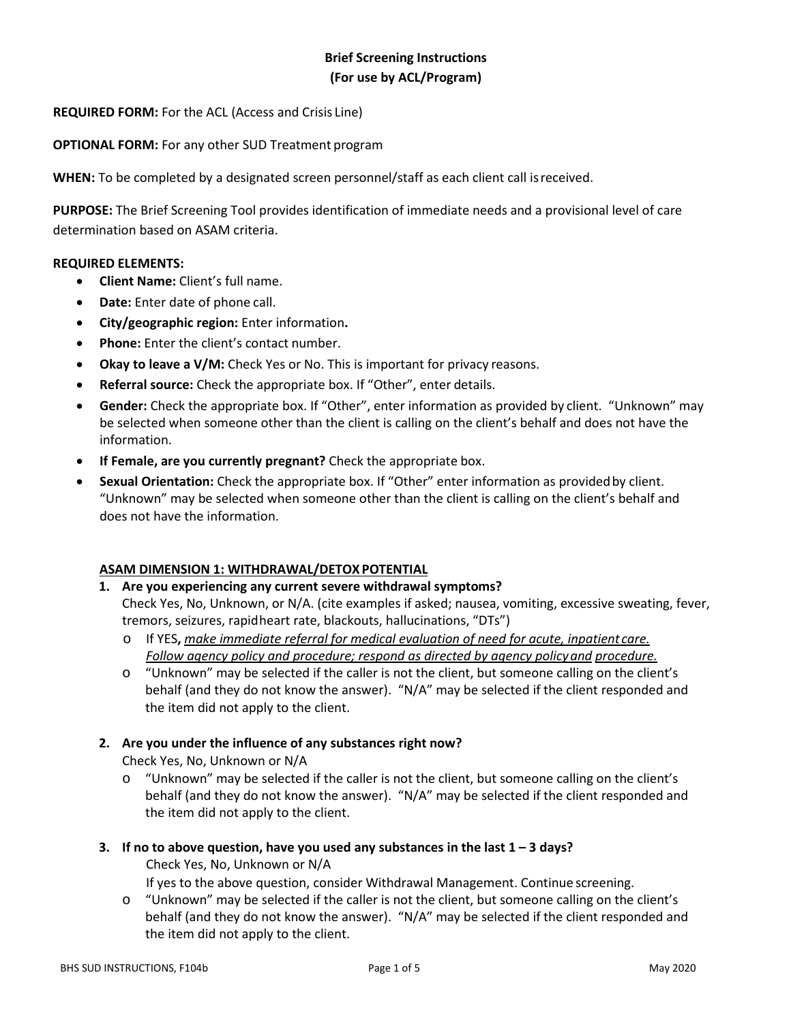# **Brief Screening Instructions (For use by ACL/Program)**

### **REQUIRED FORM:** For the ACL (Access and Crisis Line)

**OPTIONAL FORM:** For any other SUD Treatment program

**WHEN:** To be completed by a designated screen personnel/staff as each client call isreceived.

**PURPOSE:** The Brief Screening Tool provides identification of immediate needs and a provisional level of care determination based on ASAM criteria.

#### **REQUIRED ELEMENTS:**

- **Client Name:** Client's full name.
- **Date:** Enter date of phone call.
- **City/geographic region:** Enter information**.**
- **Phone:** Enter the client's contact number.
- **Okay to leave a V/M:** Check Yes or No. This is important for privacy reasons.
- **Referral source:** Check the appropriate box. If "Other", enter details.
- **Gender:** Check the appropriate box. If "Other", enter information as provided by client. "Unknown" may be selected when someone other than the client is calling on the client's behalf and does not have the information.
- **If Female, are you currently pregnant?** Check the appropriate box.
- **Sexual Orientation:** Check the appropriate box. If "Other" enter information as providedby client. "Unknown" may be selected when someone other than the client is calling on the client's behalf and does not have the information.

#### **ASAM DIMENSION 1: WITHDRAWAL/DETOX POTENTIAL**

**1. Are you experiencing any current severe withdrawal symptoms?** 

Check Yes, No, Unknown, or N/A. (cite examples if asked; nausea, vomiting, excessive sweating, fever, tremors, seizures, rapidheart rate, blackouts, hallucinations, "DTs")

- o If YES**,** *make immediate referral for medical evaluation of need for acute, inpatient care. Follow agency policy and procedure; respond as directed by agency policyand procedure.*
- o "Unknown" may be selected if the caller is not the client, but someone calling on the client's behalf (and they do not know the answer). "N/A" may be selected if the client responded and the item did not apply to the client.

#### **2. Are you under the influence of any substances right now?**

Check Yes, No, Unknown or N/A

- o "Unknown" may be selected if the caller is not the client, but someone calling on the client's behalf (and they do not know the answer). "N/A" may be selected if the client responded and the item did not apply to the client.
- **3. If no to above question, have you used any substances in the last 1 – 3 days?** Check Yes, No, Unknown or N/A

If yes to the above question, consider Withdrawal Management. Continue screening.

o "Unknown" may be selected if the caller is not the client, but someone calling on the client's behalf (and they do not know the answer). "N/A" may be selected if the client responded and the item did not apply to the client.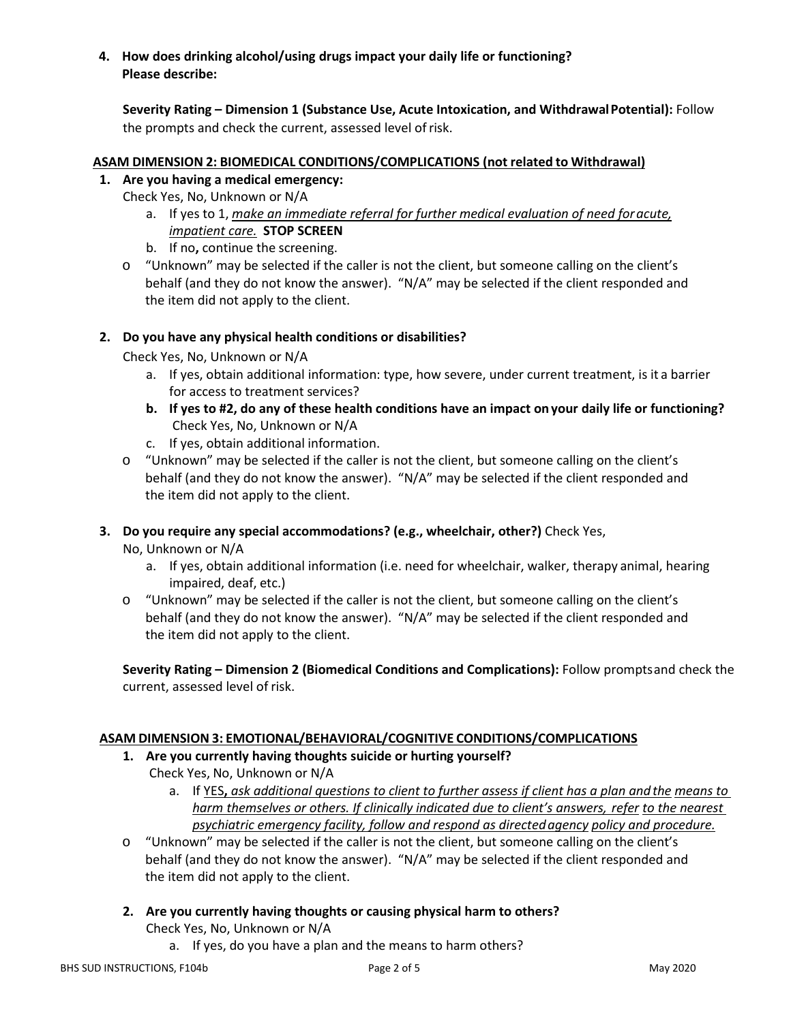## **4. How does drinking alcohol/using drugs impact your daily life or functioning? Please describe:**

**Severity Rating – Dimension 1 (Substance Use, Acute Intoxication, and WithdrawalPotential):** Follow the prompts and check the current, assessed level of risk.

### **ASAM DIMENSION 2: BIOMEDICAL CONDITIONS/COMPLICATIONS (not related to Withdrawal)**

### **1. Are you having a medical emergency:**

- Check Yes, No, Unknown or N/A
	- a. If yes to 1, *make an immediate referral for further medical evaluation of need foracute, impatient care.* **STOP SCREEN**
	- b. If no**,** continue the screening.
- o "Unknown" may be selected if the caller is not the client, but someone calling on the client's behalf (and they do not know the answer). "N/A" may be selected if the client responded and the item did not apply to the client.

### **2. Do you have any physical health conditions or disabilities?**

Check Yes, No, Unknown or N/A

- a. If yes, obtain additional information: type, how severe, under current treatment, is it a barrier for access to treatment services?
- **b. If yes to #2, do any of these health conditions have an impact on your daily life or functioning?** Check Yes, No, Unknown or N/A
- c. If yes, obtain additional information.
- o "Unknown" may be selected if the caller is not the client, but someone calling on the client's behalf (and they do not know the answer). "N/A" may be selected if the client responded and the item did not apply to the client.

### **3. Do you require any special accommodations? (e.g., wheelchair, other?)** Check Yes,

No, Unknown or N/A

- a. If yes, obtain additional information (i.e. need for wheelchair, walker, therapy animal, hearing impaired, deaf, etc.)
- o "Unknown" may be selected if the caller is not the client, but someone calling on the client's behalf (and they do not know the answer). "N/A" may be selected if the client responded and the item did not apply to the client.

**Severity Rating – Dimension 2 (Biomedical Conditions and Complications):** Follow promptsand check the current, assessed level of risk.

### **ASAM DIMENSION 3: EMOTIONAL/BEHAVIORAL/COGNITIVE CONDITIONS/COMPLICATIONS**

**1. Are you currently having thoughts suicide or hurting yourself?**

Check Yes, No, Unknown or N/A

- a. If YES**,** *ask additional questions to client to further assess if client has a plan andthe means to harm themselves or others. If clinically indicated due to client's answers, refer to the nearest psychiatric emergency facility, follow and respond as directedagency policy and procedure.*
- o "Unknown" may be selected if the caller is not the client, but someone calling on the client's behalf (and they do not know the answer). "N/A" may be selected if the client responded and the item did not apply to the client.
- **2. Are you currently having thoughts or causing physical harm to others?**

Check Yes, No, Unknown or N/A

a. If yes, do you have a plan and the means to harm others?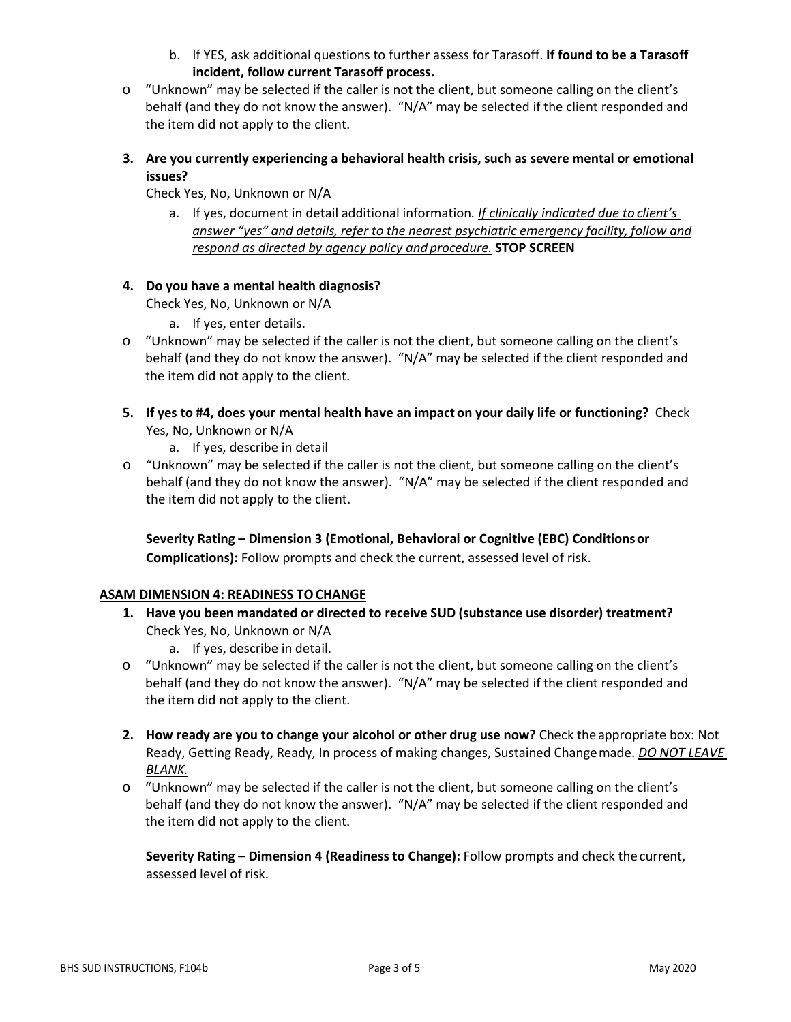- b. If YES, ask additional questions to further assess for Tarasoff. **If found to be a Tarasoff incident, follow current Tarasoff process.**
- o "Unknown" may be selected if the caller is not the client, but someone calling on the client's behalf (and they do not know the answer). "N/A" may be selected if the client responded and the item did not apply to the client.
- **3. Are you currently experiencing a behavioral health crisis, such as severe mental or emotional issues?**

Check Yes, No, Unknown or N/A

a. If yes, document in detail additional information*. If clinically indicated due to client's answer "yes" and details, refer to the nearest psychiatric emergency facility, follow and respond as directed by agency policy and procedure.* **STOP SCREEN**

## **4. Do you have a mental health diagnosis?**

Check Yes, No, Unknown or N/A

- a. If yes, enter details.
- o "Unknown" may be selected if the caller is not the client, but someone calling on the client's behalf (and they do not know the answer). "N/A" may be selected if the client responded and the item did not apply to the client.
- **5. If yes to #4, does your mental health have an impact on your daily life or functioning?** Check Yes, No, Unknown or N/A
	- a. If yes, describe in detail
- o "Unknown" may be selected if the caller is not the client, but someone calling on the client's behalf (and they do not know the answer). "N/A" may be selected if the client responded and the item did not apply to the client.

**Severity Rating – Dimension 3 (Emotional, Behavioral or Cognitive (EBC) Conditionsor Complications):** Follow prompts and check the current, assessed level of risk.

### **ASAM DIMENSION 4: READINESS TO CHANGE**

- **1. Have you been mandated or directed to receive SUD (substance use disorder) treatment?**  Check Yes, No, Unknown or N/A
	- a. If yes, describe in detail.
- o "Unknown" may be selected if the caller is not the client, but someone calling on the client's behalf (and they do not know the answer). "N/A" may be selected if the client responded and the item did not apply to the client.
- **2. How ready are you to change your alcohol or other drug use now?** Check theappropriate box: Not Ready, Getting Ready, Ready, In process of making changes, Sustained Changemade. *DO NOT LEAVE BLANK.*
- o "Unknown" may be selected if the caller is not the client, but someone calling on the client's behalf (and they do not know the answer). "N/A" may be selected if the client responded and the item did not apply to the client.

**Severity Rating – Dimension 4 (Readiness to Change):** Follow prompts and check the current, assessed level of risk.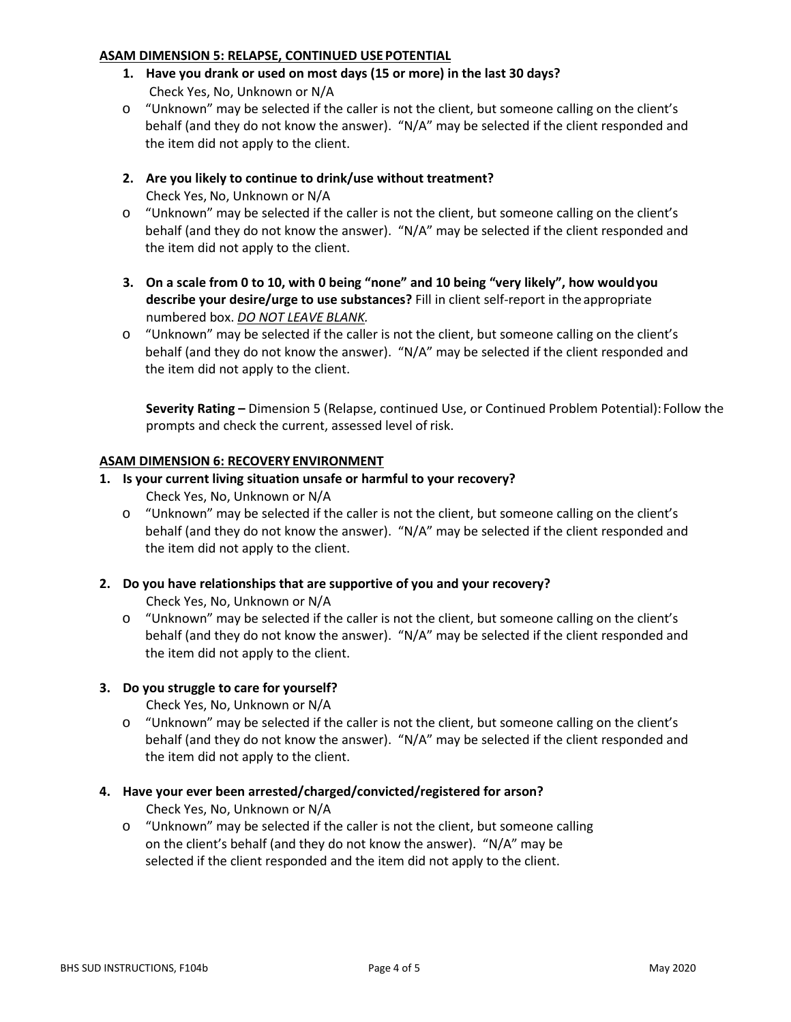#### **ASAM DIMENSION 5: RELAPSE, CONTINUED USE POTENTIAL**

- **1. Have you drank or used on most days (15 or more) in the last 30 days?** Check Yes, No, Unknown or N/A
- o "Unknown" may be selected if the caller is not the client, but someone calling on the client's behalf (and they do not know the answer). "N/A" may be selected if the client responded and the item did not apply to the client.
- **2. Are you likely to continue to drink/use without treatment?**  Check Yes, No, Unknown or N/A
- o "Unknown" may be selected if the caller is not the client, but someone calling on the client's behalf (and they do not know the answer). "N/A" may be selected if the client responded and the item did not apply to the client.
- **3. On a scale from 0 to 10, with 0 being "none" and 10 being "very likely", how wouldyou describe your desire/urge to use substances?** Fill in client self-report in the appropriate numbered box. *DO NOT LEAVE BLANK.*
- o "Unknown" may be selected if the caller is not the client, but someone calling on the client's behalf (and they do not know the answer). "N/A" may be selected if the client responded and the item did not apply to the client.

**Severity Rating –** Dimension 5 (Relapse, continued Use, or Continued Problem Potential): Follow the prompts and check the current, assessed level of risk.

### **ASAM DIMENSION 6: RECOVERY ENVIRONMENT**

### **1. Is your current living situation unsafe or harmful to your recovery?**

Check Yes, No, Unknown or N/A

o "Unknown" may be selected if the caller is not the client, but someone calling on the client's behalf (and they do not know the answer). "N/A" may be selected if the client responded and the item did not apply to the client.

### **2. Do you have relationships that are supportive of you and your recovery?**

Check Yes, No, Unknown or N/A

o "Unknown" may be selected if the caller is not the client, but someone calling on the client's behalf (and they do not know the answer). "N/A" may be selected if the client responded and the item did not apply to the client.

### **3. Do you struggle to care for yourself?**

Check Yes, No, Unknown or N/A

- o "Unknown" may be selected if the caller is not the client, but someone calling on the client's behalf (and they do not know the answer). "N/A" may be selected if the client responded and the item did not apply to the client.
- **4. Have your ever been arrested/charged/convicted/registered for arson?** Check Yes, No, Unknown or N/A
	- o "Unknown" may be selected if the caller is not the client, but someone calling on the client's behalf (and they do not know the answer). "N/A" may be selected if the client responded and the item did not apply to the client.